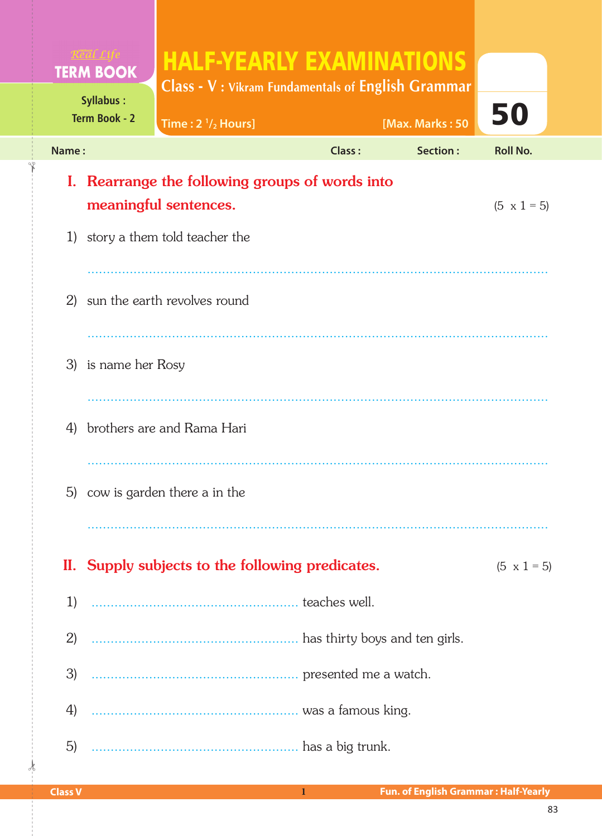|       | <b>TERM BOOK</b>                  | <b>HALF-YEARLY EXAMINATIONS</b>                                                                                                                                                                                                |               |                 |                    |
|-------|-----------------------------------|--------------------------------------------------------------------------------------------------------------------------------------------------------------------------------------------------------------------------------|---------------|-----------------|--------------------|
|       | <b>Syllabus:</b><br>Term Book - 2 | <b>Class - V</b> : Vikram Fundamentals of English Grammar<br>Time: $2 \frac{1}{2}$ Hours]                                                                                                                                      |               | [Max. Marks: 50 | 50                 |
| Name: |                                   |                                                                                                                                                                                                                                | <b>Class:</b> | <b>Section:</b> | <b>Roll No.</b>    |
| I.    |                                   | Rearrange the following groups of words into<br>meaningful sentences.                                                                                                                                                          |               |                 | $(5 \times 1 = 5)$ |
|       |                                   | 1) story a them told teacher the                                                                                                                                                                                               |               |                 |                    |
| 2)    |                                   | sun the earth revolves round                                                                                                                                                                                                   |               |                 |                    |
| 4)    | 3) is name her Rosy               | brothers are and Rama Hari                                                                                                                                                                                                     |               |                 |                    |
|       |                                   | 5) cow is garden there a in the                                                                                                                                                                                                |               |                 |                    |
|       |                                   | II. Supply subjects to the following predicates.                                                                                                                                                                               |               |                 | $(5 \times 1 = 5)$ |
| 1)    |                                   |                                                                                                                                                                                                                                |               |                 |                    |
| 2)    |                                   |                                                                                                                                                                                                                                |               |                 |                    |
| 3)    |                                   | different presented me a watch.                                                                                                                                                                                                |               |                 |                    |
| 4)    |                                   | was a famous king.                                                                                                                                                                                                             |               |                 |                    |
| 5)    |                                   | and the summan state of the summan state of the state of the state of the state of the state of the state of the state of the state of the state of the state of the state of the state of the state of the state of the state |               |                 |                    |

 $\frac{1}{2}$ 

✁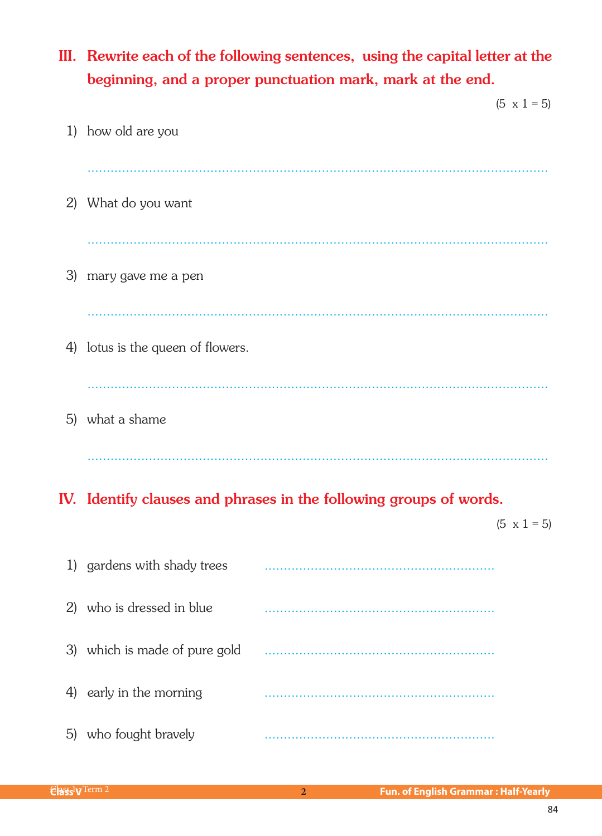# III. Rewrite each of the following sentences, using the capital letter at the beginning, and a proper punctuation mark, mark at the end.

|    | $(5 \times 1 = 5)$                |  |
|----|-----------------------------------|--|
|    | 1) how old are you                |  |
|    |                                   |  |
| 2) | What do you want                  |  |
|    |                                   |  |
| 3) | mary gave me a pen                |  |
|    |                                   |  |
|    | 4) lotus is the queen of flowers. |  |
|    |                                   |  |
|    | 5) what a shame                   |  |
|    |                                   |  |

## IV. Identify clauses and phrases in the following groups of words.

 $(5 \times 1 = 5)$ 

| 1)  | gardens with shady trees      |  |
|-----|-------------------------------|--|
| 2)  | who is dressed in blue        |  |
|     | 3) which is made of pure gold |  |
| 4)  | early in the morning          |  |
| (5) | who fought bravely            |  |

 $2<sup>7</sup>$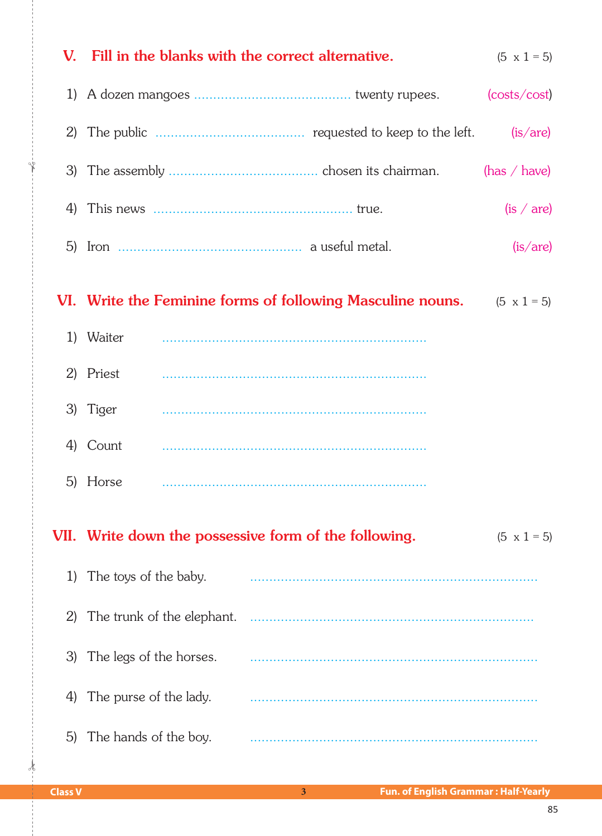|    | V. Fill in the blanks with the correct alternative. |                                                                                      | $(5 \times 1 = 5)$ |
|----|-----------------------------------------------------|--------------------------------------------------------------------------------------|--------------------|
|    |                                                     |                                                                                      | (costs/cost)       |
|    |                                                     |                                                                                      | (is/are)           |
|    |                                                     |                                                                                      | (has $/$ have)     |
|    |                                                     |                                                                                      | (is / are)         |
|    |                                                     |                                                                                      | (is/are)           |
|    |                                                     | <b>VI.</b> Write the Feminine forms of following Masculine nouns. $(5 \times 1 = 5)$ |                    |
|    | 1) Waiter                                           |                                                                                      |                    |
|    | 2) Priest                                           |                                                                                      |                    |
|    | 3) Tiger                                            |                                                                                      |                    |
|    | 4) Count                                            |                                                                                      |                    |
|    | 5) Horse                                            |                                                                                      |                    |
|    |                                                     | VII. Write down the possessive form of the following.                                | $(5 \times 1 = 5)$ |
| 1) | The toys of the baby.                               |                                                                                      |                    |
| 2) |                                                     |                                                                                      |                    |
| 3) | The legs of the horses.                             |                                                                                      |                    |
| 4) | The purse of the lady.                              |                                                                                      |                    |
| 5) | The hands of the boy.                               |                                                                                      |                    |

✁

 $\dot{\mathbf{r}}$